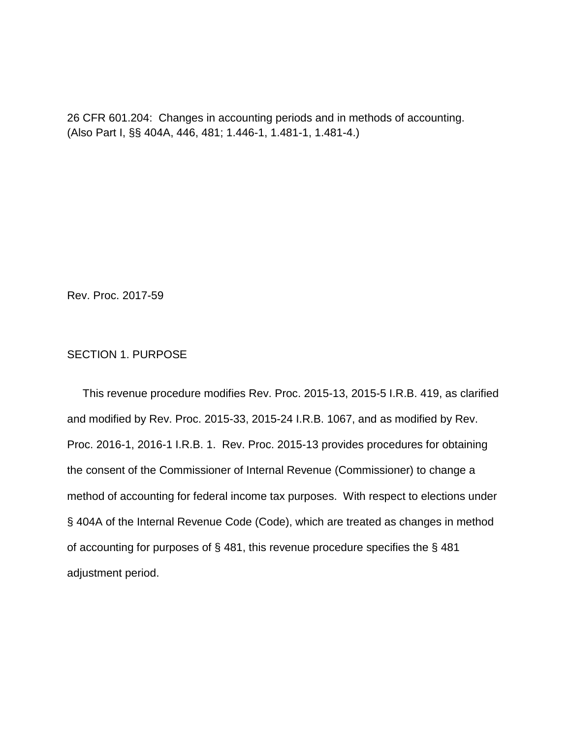26 CFR 601.204: Changes in accounting periods and in methods of accounting. (Also Part I, §§ 404A, 446, 481; 1.446-1, 1.481-1, 1.481-4.)

Rev. Proc. 2017-59

# SECTION 1. PURPOSE

 This revenue procedure modifies Rev. Proc. 2015-13, 2015-5 I.R.B. 419, as clarified and modified by Rev. Proc. 2015-33, 2015-24 I.R.B. 1067, and as modified by Rev. Proc. 2016-1, 2016-1 I.R.B. 1. Rev. Proc. 2015-13 provides procedures for obtaining the consent of the Commissioner of Internal Revenue (Commissioner) to change a method of accounting for federal income tax purposes. With respect to elections under § 404A of the Internal Revenue Code (Code), which are treated as changes in method of accounting for purposes of § 481, this revenue procedure specifies the § 481 adjustment period.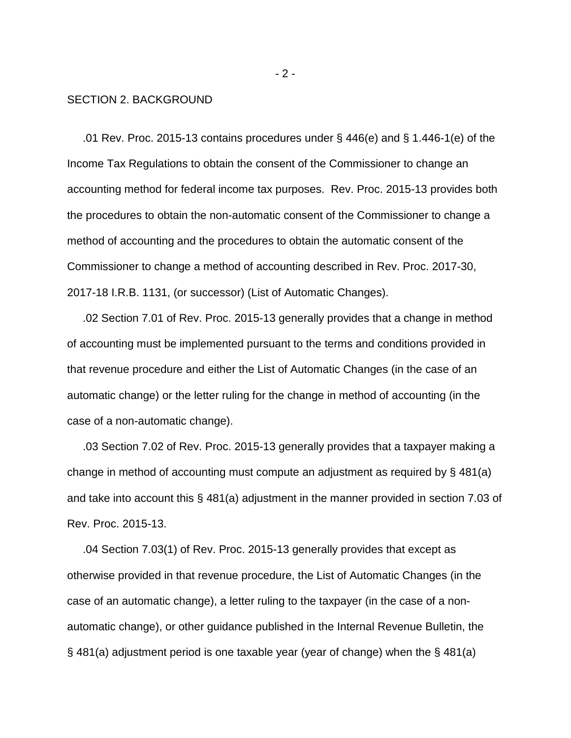#### SECTION 2. BACKGROUND

 .01 Rev. Proc. 2015-13 contains procedures under § 446(e) and § 1.446-1(e) of the Income Tax Regulations to obtain the consent of the Commissioner to change an accounting method for federal income tax purposes. Rev. Proc. 2015-13 provides both the procedures to obtain the non-automatic consent of the Commissioner to change a method of accounting and the procedures to obtain the automatic consent of the Commissioner to change a method of accounting described in Rev. Proc. 2017-30, 2017-18 I.R.B. 1131, (or successor) (List of Automatic Changes).

 .02 Section 7.01 of Rev. Proc. 2015-13 generally provides that a change in method of accounting must be implemented pursuant to the terms and conditions provided in that revenue procedure and either the List of Automatic Changes (in the case of an automatic change) or the letter ruling for the change in method of accounting (in the case of a non-automatic change).

 .03 Section 7.02 of Rev. Proc. 2015-13 generally provides that a taxpayer making a change in method of accounting must compute an adjustment as required by § 481(a) and take into account this § 481(a) adjustment in the manner provided in section 7.03 of Rev. Proc. 2015-13.

 .04 Section 7.03(1) of Rev. Proc. 2015-13 generally provides that except as otherwise provided in that revenue procedure, the List of Automatic Changes (in the case of an automatic change), a letter ruling to the taxpayer (in the case of a nonautomatic change), or other guidance published in the Internal Revenue Bulletin, the § 481(a) adjustment period is one taxable year (year of change) when the § 481(a)

 $-2 -$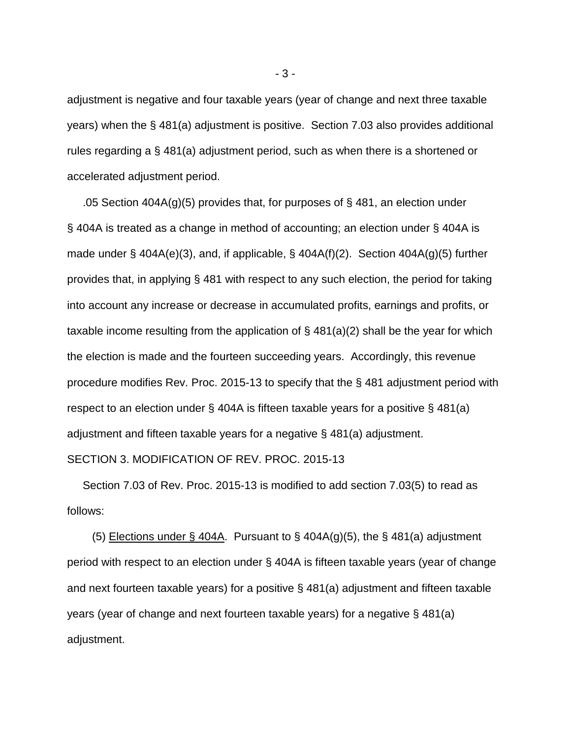adjustment is negative and four taxable years (year of change and next three taxable years) when the § 481(a) adjustment is positive. Section 7.03 also provides additional rules regarding a § 481(a) adjustment period, such as when there is a shortened or accelerated adjustment period.

 .05 Section 404A(g)(5) provides that, for purposes of § 481, an election under § 404A is treated as a change in method of accounting; an election under § 404A is made under  $\S$  404A(e)(3), and, if applicable,  $\S$  404A(f)(2). Section 404A(g)(5) further provides that, in applying § 481 with respect to any such election, the period for taking into account any increase or decrease in accumulated profits, earnings and profits, or taxable income resulting from the application of  $\S$  481(a)(2) shall be the year for which the election is made and the fourteen succeeding years. Accordingly, this revenue procedure modifies Rev. Proc. 2015-13 to specify that the § 481 adjustment period with respect to an election under § 404A is fifteen taxable years for a positive § 481(a) adjustment and fifteen taxable years for a negative § 481(a) adjustment.

SECTION 3. MODIFICATION OF REV. PROC. 2015-13

 Section 7.03 of Rev. Proc. 2015-13 is modified to add section 7.03(5) to read as follows:

(5) Elections under § 404A. Pursuant to § 404A(g)(5), the § 481(a) adjustment period with respect to an election under § 404A is fifteen taxable years (year of change and next fourteen taxable years) for a positive § 481(a) adjustment and fifteen taxable years (year of change and next fourteen taxable years) for a negative § 481(a) adjustment.

- 3 -